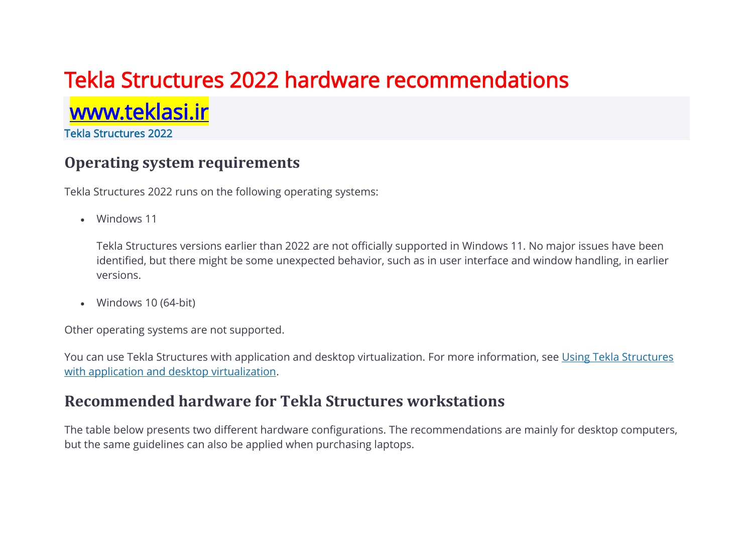# Tekla Structures 2022 hardware recommendations

<www.teklasi.ir>

Tekla Structures 2022

## **Operating system requirements**

Tekla Structures 2022 runs on the following operating systems:

• Windows 11

Tekla Structures versions earlier than 2022 are not officially supported in Windows 11. No major issues have been identified, but there might be some unexpected behavior, such as in user interface and window handling, in earlier versions.

• Windows 10 (64-bit)

Other operating systems are not supported.

You can use Tekla Structures with application and desktop virtualization. For more information, see Using Tekla Structures with application and desktop virtualization.

### **Recommended hardware for Tekla Structures workstations**

The table below presents two different hardware configurations. The recommendations are mainly for desktop computers, but the same guidelines can also be applied when purchasing laptops.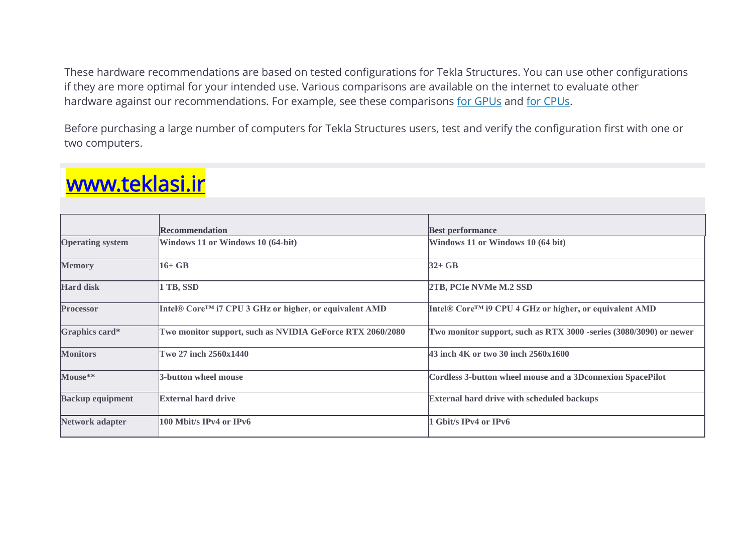These hardware recommendations are based on tested configurations for Tekla Structures. You can use other configurations if they are more optimal for your intended use. Various comparisons are available on the internet to evaluate other hardware against our recommendations. For example, see these comparisons [for GPUs](https://www.videocardbenchmark.net/) and [for CPUs.](https://www.cpubenchmark.net/)

Before purchasing a large number of computers for Tekla Structures users, test and verify the configuration first with one or two computers.

|                         | <b>Recommendation</b>                                     | <b>Best performance</b>                                            |
|-------------------------|-----------------------------------------------------------|--------------------------------------------------------------------|
| <b>Operating system</b> | Windows 11 or Windows 10 (64-bit)                         | Windows 11 or Windows 10 (64 bit)                                  |
| <b>Memory</b>           | $16+GB$                                                   | $32+GB$                                                            |
| <b>Hard disk</b>        | 1 TB, SSD                                                 | 2TB, PCIe NVMe M.2 SSD                                             |
| <b>Processor</b>        | Intel® Core™ i7 CPU 3 GHz or higher, or equivalent AMD    | Intel® Core™ i9 CPU 4 GHz or higher, or equivalent AMD             |
| Graphics card*          | Two monitor support, such as NVIDIA GeForce RTX 2060/2080 | Two monitor support, such as RTX 3000 -series (3080/3090) or newer |
| <b>Monitors</b>         | Two 27 inch 2560x1440                                     | 43 inch 4K or two 30 inch 2560x1600                                |
| Mouse**                 | 3-button wheel mouse                                      | Cordless 3-button wheel mouse and a 3D connexion SpacePilot        |
| <b>Backup equipment</b> | <b>External hard drive</b>                                | <b>External hard drive with scheduled backups</b>                  |
| <b>Network adapter</b>  | $100$ Mbit/s IPv4 or IPv6                                 | <b>Gbit/s IPv4 or IPv6</b>                                         |

# <www.teklasi.ir>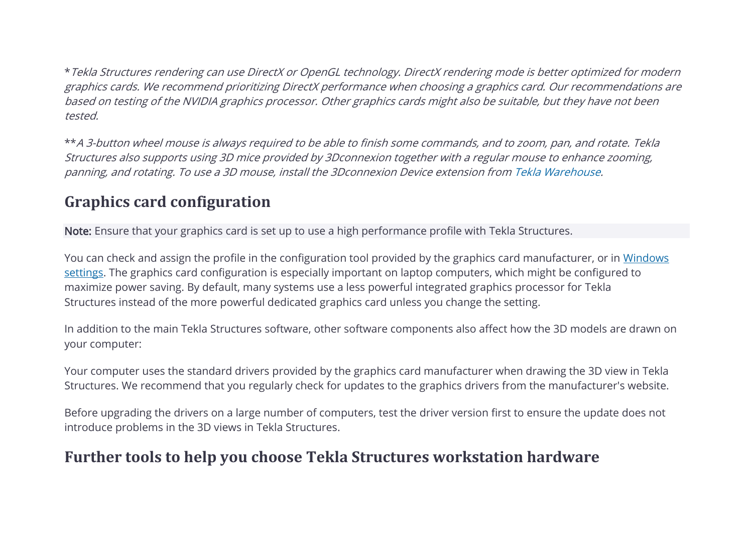\*Tekla Structures rendering can use DirectX or OpenGL technology. DirectX rendering mode is better optimized for modern graphics cards. We recommend prioritizing DirectX performance when choosing a graphics card. Our recommendations are based on testing of the NVIDIA graphics processor. Other graphics cards might also be suitable, but they have not been tested.

\*\*A 3-button wheel mouse is always required to be able to finish some commands, and to zoom, pan, and rotate. Tekla Structures also supports using 3D mice provided by 3Dconnexion together with a regular mouse to enhance zooming, panning, and rotating. To use a 3D mouse, install the 3Dconnexion Device extension from [Tekla Warehouse.](https://warehouse.tekla.com/#!/catalog/details/f132539e-5116-4238-b5f8-e2e81f4ac6e9)

# **Graphics card configuration**

Note: Ensure that your graphics card is set up to use a high performance profile with Tekla Structures.

You can check and assign the profile in the configuration tool provided by the graphics card manufacturer, or in [Windows](https://teklastructures.support.tekla.com/support-articles/selecting-correct-graphics-card-tekla-structures-windows)  [settings.](https://teklastructures.support.tekla.com/support-articles/selecting-correct-graphics-card-tekla-structures-windows) The graphics card configuration is especially important on laptop computers, which might be configured to maximize power saving. By default, many systems use a less powerful integrated graphics processor for Tekla Structures instead of the more powerful dedicated graphics card unless you change the setting.

In addition to the main Tekla Structures software, other software components also affect how the 3D models are drawn on your computer:

Your computer uses the standard drivers provided by the graphics card manufacturer when drawing the 3D view in Tekla Structures. We recommend that you regularly check for updates to the graphics drivers from the manufacturer's website.

Before upgrading the drivers on a large number of computers, test the driver version first to ensure the update does not introduce problems in the 3D views in Tekla Structures.

# **Further tools to help you choose Tekla Structures workstation hardware**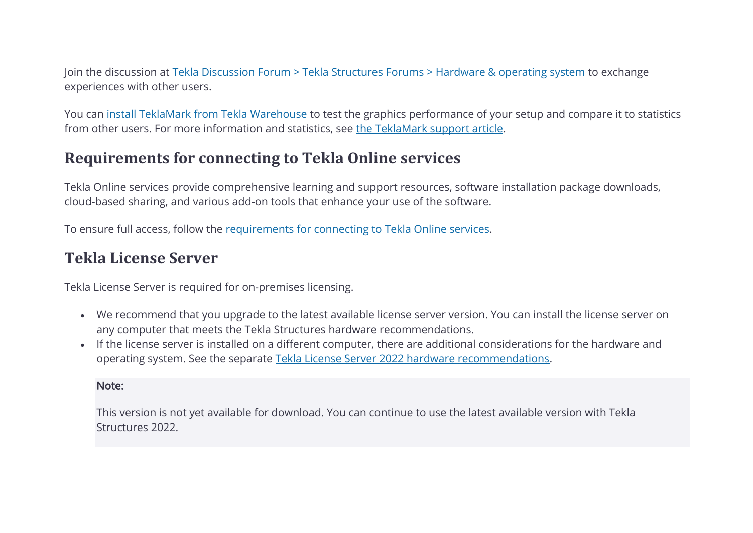Join the discussion at Tekla Discussion Forum > Tekla Structures [Forums > Hardware & operating system](https://forum.tekla.com/index.php?/forum/245-hardware-operating-system/) to exchange experiences with other users.

You can [install TeklaMark from Tekla Warehouse](https://warehouse.tekla.com/#!/catalog/details/ucac83627-77c6-4e39-a67e-400379dca22a) to test the graphics performance of your setup and compare it to statistics from other users. For more information and statistics, see [the TeklaMark support article.](https://teklastructures.support.tekla.com/support-articles/teklamark)

# **Requirements for connecting to Tekla Online services**

Tekla Online services provide comprehensive learning and support resources, software installation package downloads, cloud-based sharing, and various add-on tools that enhance your use of the software.

To ensure full access, follow the [requirements for connecting to](https://teklastructures.support.tekla.com/support-articles/requirements-connecting-tekla-online-services) Tekla Online services.

# **Tekla License Server**

Tekla License Server is required for on-premises licensing.

- We recommend that you upgrade to the latest available license server version. You can install the license server on any computer that meets the Tekla Structures hardware recommendations.
- If the license server is installed on a different computer, there are additional considerations for the hardware and operating system. See the separate [Tekla License Server 2022 hardware recommendations.](https://support.tekla.com/topic/en/62066/73110/GUID-2CD20CF2-3090-476A-9C22-F6DCDD728BAA?anchor=GUID-A77E2DD5-8D19-4D26-9B34-86FFA2608942)

#### Note:

This version is not yet available for download. You can continue to use the latest available version with Tekla Structures 2022.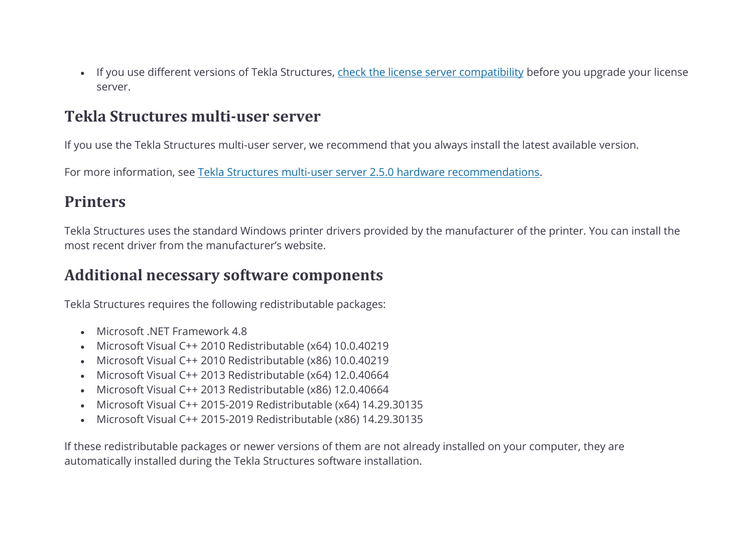• If you use different versions of Tekla Structures, check the license server compatibility before you upgrade your license server.

### **Tekla Structures multi-user server**

If you use the Tekla Structures multi-user server, we recommend that you always install the latest available version.

For more information, see Tekla Structures multi-user server 2.5.0 hardware recommendations.

## **Printers**

Tekla Structures uses the standard Windows printer drivers provided by the manufacturer of the printer. You can install the most recent driver from the manufacturer's website.

### **Additional necessary software components**

Tekla Structures requires the following redistributable packages:

- Microsoft .NET Framework 4.8
- Microsoft Visual C++ 2010 Redistributable (x64) 10.0.40219
- Microsoft Visual C++ 2010 Redistributable (x86) 10.0.40219
- Microsoft Visual C++ 2013 Redistributable (x64) 12.0.40664
- Microsoft Visual C++ 2013 Redistributable (x86) 12.0.40664
- Microsoft Visual C++ 2015-2019 Redistributable (x64) 14.29.30135
- Microsoft Visual C++ 2015-2019 Redistributable (x86) 14.29.30135

If these redistributable packages or newer versions of them are not already installed on your computer, they are automatically installed during the Tekla Structures software installation.